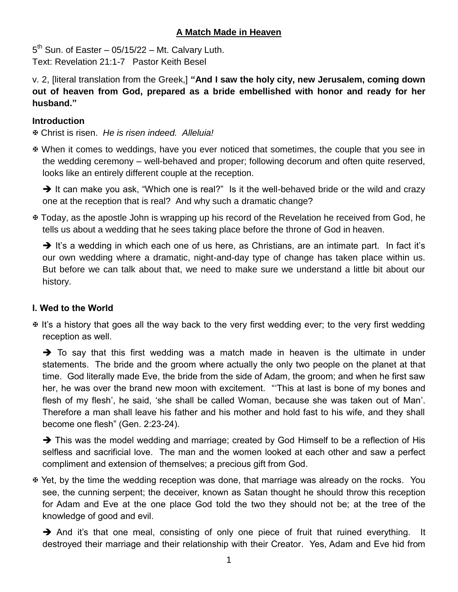# **A Match Made in Heaven**

 $5<sup>th</sup>$  Sun. of Easter – 05/15/22 – Mt. Calvary Luth. Text: Revelation 21:1-7 Pastor Keith Besel

v. 2, [literal translation from the Greek,] **"And I saw the holy city, new Jerusalem, coming down out of heaven from God, prepared as a bride embellished with honor and ready for her husband."**

### **Introduction**

Christ is risen. *He is risen indeed. Alleluia!*

 When it comes to weddings, have you ever noticed that sometimes, the couple that you see in the wedding ceremony – well-behaved and proper; following decorum and often quite reserved, looks like an entirely different couple at the reception.

 $\rightarrow$  It can make you ask, "Which one is real?" Is it the well-behaved bride or the wild and crazy one at the reception that is real? And why such a dramatic change?

 Today, as the apostle John is wrapping up his record of the Revelation he received from God, he tells us about a wedding that he sees taking place before the throne of God in heaven.

 $\rightarrow$  It's a wedding in which each one of us here, as Christians, are an intimate part. In fact it's our own wedding where a dramatic, night-and-day type of change has taken place within us. But before we can talk about that, we need to make sure we understand a little bit about our history.

# **I. Wed to the World**

 It's a history that goes all the way back to the very first wedding ever; to the very first wedding reception as well.

 $\rightarrow$  To say that this first wedding was a match made in heaven is the ultimate in under statements. The bride and the groom where actually the only two people on the planet at that time. God literally made Eve, the bride from the side of Adam, the groom; and when he first saw her, he was over the brand new moon with excitement. "'This at last is bone of my bones and flesh of my flesh', he said, 'she shall be called Woman, because she was taken out of Man'. Therefore a man shall leave his father and his mother and hold fast to his wife, and they shall become one flesh" (Gen. 2:23-24).

 $\rightarrow$  This was the model wedding and marriage; created by God Himself to be a reflection of His selfless and sacrificial love. The man and the women looked at each other and saw a perfect compliment and extension of themselves; a precious gift from God.

 Yet, by the time the wedding reception was done, that marriage was already on the rocks. You see, the cunning serpent; the deceiver, known as Satan thought he should throw this reception for Adam and Eve at the one place God told the two they should not be; at the tree of the knowledge of good and evil.

 $\rightarrow$  And it's that one meal, consisting of only one piece of fruit that ruined everything. It destroyed their marriage and their relationship with their Creator. Yes, Adam and Eve hid from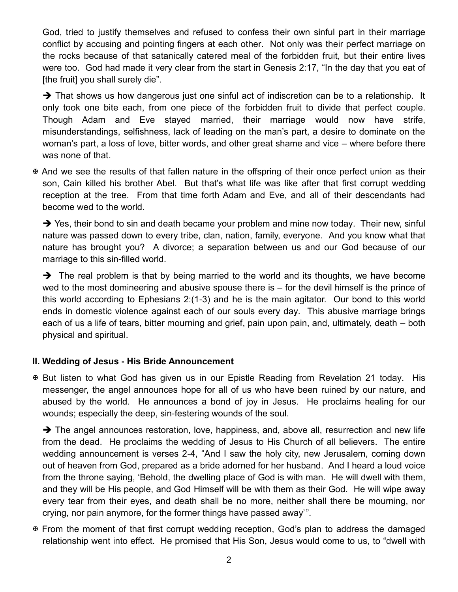God, tried to justify themselves and refused to confess their own sinful part in their marriage conflict by accusing and pointing fingers at each other. Not only was their perfect marriage on the rocks because of that satanically catered meal of the forbidden fruit, but their entire lives were too. God had made it very clear from the start in Genesis 2:17, "In the day that you eat of [the fruit] you shall surely die".

 $\rightarrow$  That shows us how dangerous just one sinful act of indiscretion can be to a relationship. It only took one bite each, from one piece of the forbidden fruit to divide that perfect couple. Though Adam and Eve stayed married, their marriage would now have strife, misunderstandings, selfishness, lack of leading on the man's part, a desire to dominate on the woman's part, a loss of love, bitter words, and other great shame and vice – where before there was none of that.

 And we see the results of that fallen nature in the offspring of their once perfect union as their son, Cain killed his brother Abel. But that's what life was like after that first corrupt wedding reception at the tree. From that time forth Adam and Eve, and all of their descendants had become wed to the world.

 $\rightarrow$  Yes, their bond to sin and death became your problem and mine now today. Their new, sinful nature was passed down to every tribe, clan, nation, family, everyone. And you know what that nature has brought you? A divorce; a separation between us and our God because of our marriage to this sin-filled world.

 $\rightarrow$  The real problem is that by being married to the world and its thoughts, we have become wed to the most domineering and abusive spouse there is – for the devil himself is the prince of this world according to Ephesians 2:(1-3) and he is the main agitator. Our bond to this world ends in domestic violence against each of our souls every day. This abusive marriage brings each of us a life of tears, bitter mourning and grief, pain upon pain, and, ultimately, death – both physical and spiritual.

#### **II. Wedding of Jesus - His Bride Announcement**

 But listen to what God has given us in our Epistle Reading from Revelation 21 today. His messenger, the angel announces hope for all of us who have been ruined by our nature, and abused by the world. He announces a bond of joy in Jesus. He proclaims healing for our wounds; especially the deep, sin-festering wounds of the soul.

 $\rightarrow$  The angel announces restoration, love, happiness, and, above all, resurrection and new life from the dead. He proclaims the wedding of Jesus to His Church of all believers. The entire wedding announcement is verses 2-4, "And I saw the holy city, new Jerusalem, coming down out of heaven from God, prepared as a bride adorned for her husband. And I heard a loud voice from the throne saying, 'Behold, the dwelling place of God is with man. He will dwell with them, and they will be His people, and God Himself will be with them as their God. He will wipe away every tear from their eyes, and death shall be no more, neither shall there be mourning, nor crying, nor pain anymore, for the former things have passed away' ".

 From the moment of that first corrupt wedding reception, God's plan to address the damaged relationship went into effect. He promised that His Son, Jesus would come to us, to "dwell with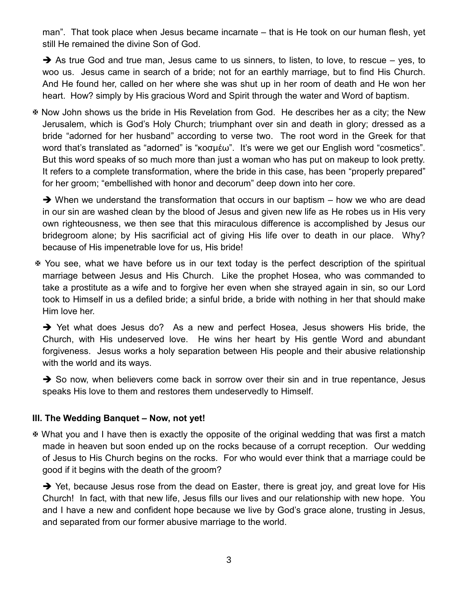man". That took place when Jesus became incarnate – that is He took on our human flesh, yet still He remained the divine Son of God.

 $\rightarrow$  As true God and true man, Jesus came to us sinners, to listen, to love, to rescue – yes, to woo us. Jesus came in search of a bride; not for an earthly marriage, but to find His Church. And He found her, called on her where she was shut up in her room of death and He won her heart. How? simply by His gracious Word and Spirit through the water and Word of baptism.

 Now John shows us the bride in His Revelation from God. He describes her as a city; the New Jerusalem, which is God's Holy Church; triumphant over sin and death in glory; dressed as a bride "adorned for her husband" according to verse two. The root word in the Greek for that word that's translated as "adorned" is "κοσμέω". It's were we get our English word "cosmetics". But this word speaks of so much more than just a woman who has put on makeup to look pretty. It refers to a complete transformation, where the bride in this case, has been "properly prepared" for her groom; "embellished with honor and decorum" deep down into her core.

 $\rightarrow$  When we understand the transformation that occurs in our baptism – how we who are dead in our sin are washed clean by the blood of Jesus and given new life as He robes us in His very own righteousness, we then see that this miraculous difference is accomplished by Jesus our bridegroom alone; by His sacrificial act of giving His life over to death in our place. Why? because of His impenetrable love for us, His bride!

 You see, what we have before us in our text today is the perfect description of the spiritual marriage between Jesus and His Church. Like the prophet Hosea, who was commanded to take a prostitute as a wife and to forgive her even when she strayed again in sin, so our Lord took to Himself in us a defiled bride; a sinful bride, a bride with nothing in her that should make Him love her.

→ Yet what does Jesus do? As a new and perfect Hosea, Jesus showers His bride, the Church, with His undeserved love. He wins her heart by His gentle Word and abundant forgiveness. Jesus works a holy separation between His people and their abusive relationship with the world and its ways.

 $\rightarrow$  So now, when believers come back in sorrow over their sin and in true repentance, Jesus speaks His love to them and restores them undeservedly to Himself.

#### **III. The Wedding Banquet – Now, not yet!**

 What you and I have then is exactly the opposite of the original wedding that was first a match made in heaven but soon ended up on the rocks because of a corrupt reception. Our wedding of Jesus to His Church begins on the rocks. For who would ever think that a marriage could be good if it begins with the death of the groom?

 $\rightarrow$  Yet, because Jesus rose from the dead on Easter, there is great joy, and great love for His Church! In fact, with that new life, Jesus fills our lives and our relationship with new hope. You and I have a new and confident hope because we live by God's grace alone, trusting in Jesus, and separated from our former abusive marriage to the world.